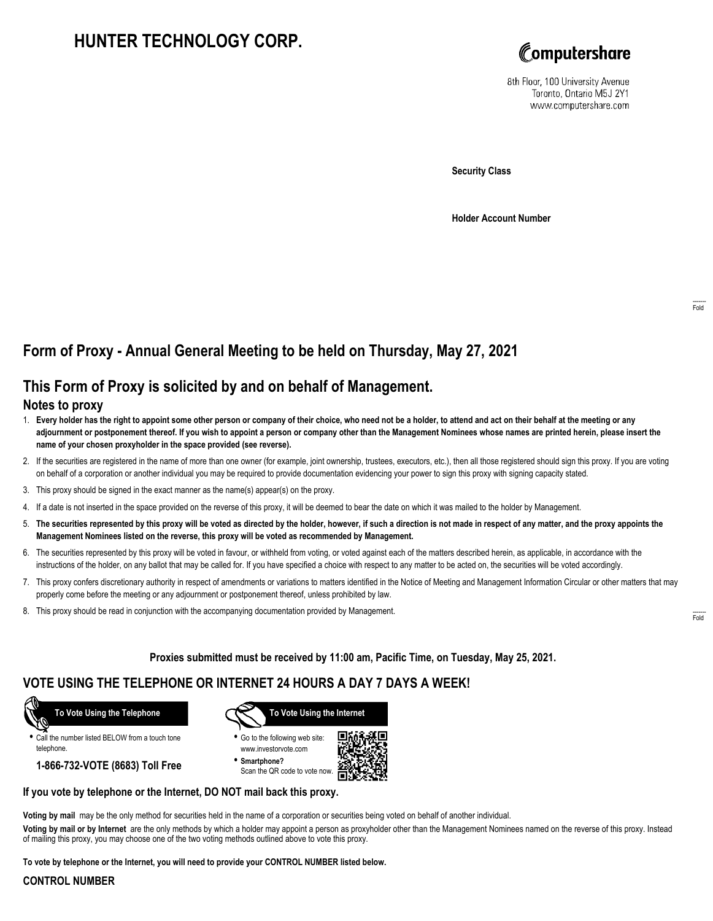# **HUNTER TECHNOLOGY CORP.**



8th Floor, 100 University Avenue Toronto, Ontario M5J 2Y1 www.computershare.com

**Security Class**

**Holder Account Number**

## **Form of Proxy - Annual General Meeting to be held on Thursday, May 27, 2021**

## **This Form of Proxy is solicited by and on behalf of Management.**

### **Notes to proxy**

- 1. **Every holder has the right to appoint some other person or company of their choice, who need not be a holder, to attend and act on their behalf at the meeting or any adjournment or postponement thereof. If you wish to appoint a person or company other than the Management Nominees whose names are printed herein, please insert the name of your chosen proxyholder in the space provided (see reverse).**
- 2. If the securities are registered in the name of more than one owner (for example, joint ownership, trustees, executors, etc.), then all those registered should sign this proxy. If you are voting on behalf of a corporation or another individual you may be required to provide documentation evidencing your power to sign this proxy with signing capacity stated.
- 3. This proxy should be signed in the exact manner as the name(s) appear(s) on the proxy.
- 4. If a date is not inserted in the space provided on the reverse of this proxy, it will be deemed to bear the date on which it was mailed to the holder by Management.
- 5. **The securities represented by this proxy will be voted as directed by the holder, however, if such a direction is not made in respect of any matter, and the proxy appoints the Management Nominees listed on the reverse, this proxy will be voted as recommended by Management.**
- 6. The securities represented by this proxy will be voted in favour, or withheld from voting, or voted against each of the matters described herein, as applicable, in accordance with the instructions of the holder, on any ballot that may be called for. If you have specified a choice with respect to any matter to be acted on, the securities will be voted accordingly.
- 7. This proxy confers discretionary authority in respect of amendments or variations to matters identified in the Notice of Meeting and Management Information Circular or other matters that may properly come before the meeting or any adjournment or postponement thereof, unless prohibited by law.
- 8. This proxy should be read in conjunction with the accompanying documentation provided by Management.

**Proxies submitted must be received by 11:00 am, Pacific Time, on Tuesday, May 25, 2021.**

## **VOTE USING THE TELEPHONE OR INTERNET 24 HOURS A DAY 7 DAYS A WEEK!**

 **To Vote Using the Telephone**

**•** Call the number listed BELOW from a touch tone telephone.

**1-866-732-VOTE (8683) Toll Free**



**•** Go to the following web site: www.investorvote.com

**• Smartphone?** Scan the QR code to vote now.



#### **If you vote by telephone or the Internet, DO NOT mail back this proxy.**

**Voting by mail** may be the only method for securities held in the name of a corporation or securities being voted on behalf of another individual.

**Voting by mail or by Internet** are the only methods by which a holder may appoint a person as proxyholder other than the Management Nominees named on the reverse of this proxy. Instead of mailing this proxy, you may choose one of the two voting methods outlined above to vote this proxy.

**To vote by telephone or the Internet, you will need to provide your CONTROL NUMBER listed below.**

#### **CONTROL NUMBER**